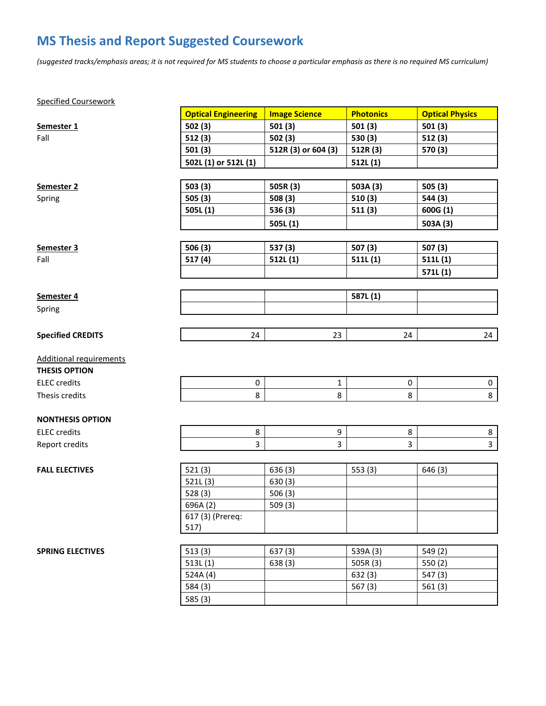## **MS Thesis and Report Suggested Coursework**

*(suggested tracks/emphasis areas; it is not required for MS students to choose a particular emphasis as there is no required MS curriculum)*

## Specified Coursework

|                                | <b>Optical Engineering</b> | <b>Image Science</b> | <b>Photonics</b> | <b>Optical Physics</b>  |  |  |  |
|--------------------------------|----------------------------|----------------------|------------------|-------------------------|--|--|--|
| Semester 1                     | 502(3)                     | 501(3)               | 501(3)           | 501(3)                  |  |  |  |
| Fall                           | 512(3)                     | 502(3)               | 530 (3)          | 512(3)                  |  |  |  |
|                                | 501(3)                     | 512R (3) or 604 (3)  | 512R (3)         | 570 (3)                 |  |  |  |
|                                | 502L (1) or 512L (1)       |                      | 512L(1)          |                         |  |  |  |
|                                |                            |                      |                  |                         |  |  |  |
| Semester <sub>2</sub>          | 503(3)                     | 505R (3)             | 503A (3)         | 505 (3)                 |  |  |  |
| Spring                         | 505(3)                     | 508 (3)              | 510(3)           | 544 (3)                 |  |  |  |
|                                | 505L(1)                    | 536 (3)              | 511(3)           | 600G (1)                |  |  |  |
|                                |                            | 505L(1)              |                  | 503A (3)                |  |  |  |
|                                |                            |                      |                  |                         |  |  |  |
| Semester 3                     | 506(3)                     | 537 (3)              | 507(3)           | 507 (3)                 |  |  |  |
| Fall                           | 517(4)                     | 512L(1)              | 511L(1)          | 511L(1)                 |  |  |  |
|                                |                            |                      |                  | 571L(1)                 |  |  |  |
|                                |                            |                      |                  |                         |  |  |  |
| Semester 4                     |                            |                      | 587L(1)          |                         |  |  |  |
| Spring                         |                            |                      |                  |                         |  |  |  |
|                                |                            |                      |                  |                         |  |  |  |
| <b>Specified CREDITS</b>       | 24                         | 23                   | 24               | 24                      |  |  |  |
|                                |                            |                      |                  |                         |  |  |  |
| <b>Additional requirements</b> |                            |                      |                  |                         |  |  |  |
| <b>THESIS OPTION</b>           |                            |                      |                  |                         |  |  |  |
| <b>ELEC</b> credits            | $\pmb{0}$                  | 1                    | $\pmb{0}$        | 0                       |  |  |  |
| Thesis credits                 | 8                          | 8                    | 8                | 8                       |  |  |  |
| <b>NONTHESIS OPTION</b>        |                            |                      |                  |                         |  |  |  |
| <b>ELEC</b> credits            | 8                          | 9                    | 8                | 8                       |  |  |  |
| Report credits                 | 3                          | 3                    | 3                | $\overline{\mathbf{3}}$ |  |  |  |
|                                |                            |                      |                  |                         |  |  |  |
| <b>FALL ELECTIVES</b>          | 521(3)                     | 636(3)               | 553(3)           | 646(3)                  |  |  |  |
|                                | 521L(3)                    | 630(3)               |                  |                         |  |  |  |
|                                | 528(3)                     | 506(3)               |                  |                         |  |  |  |
|                                | 696A (2)                   | 509(3)               |                  |                         |  |  |  |
|                                | 617 (3) (Prereq:           |                      |                  |                         |  |  |  |
|                                | 517)                       |                      |                  |                         |  |  |  |
|                                |                            |                      |                  |                         |  |  |  |
| <b>SPRING ELECTIVES</b>        | 513(3)                     | 637(3)               | 539A (3)         | 549 (2)                 |  |  |  |
|                                | 513L(1)                    | 638(3)               | 505R (3)         | 550 (2)                 |  |  |  |
|                                | 524A (4)                   |                      | 632(3)           | 547 (3)                 |  |  |  |
|                                | 584 (3)                    |                      | 567(3)           | 561(3)                  |  |  |  |
|                                | 585 (3)                    |                      |                  |                         |  |  |  |